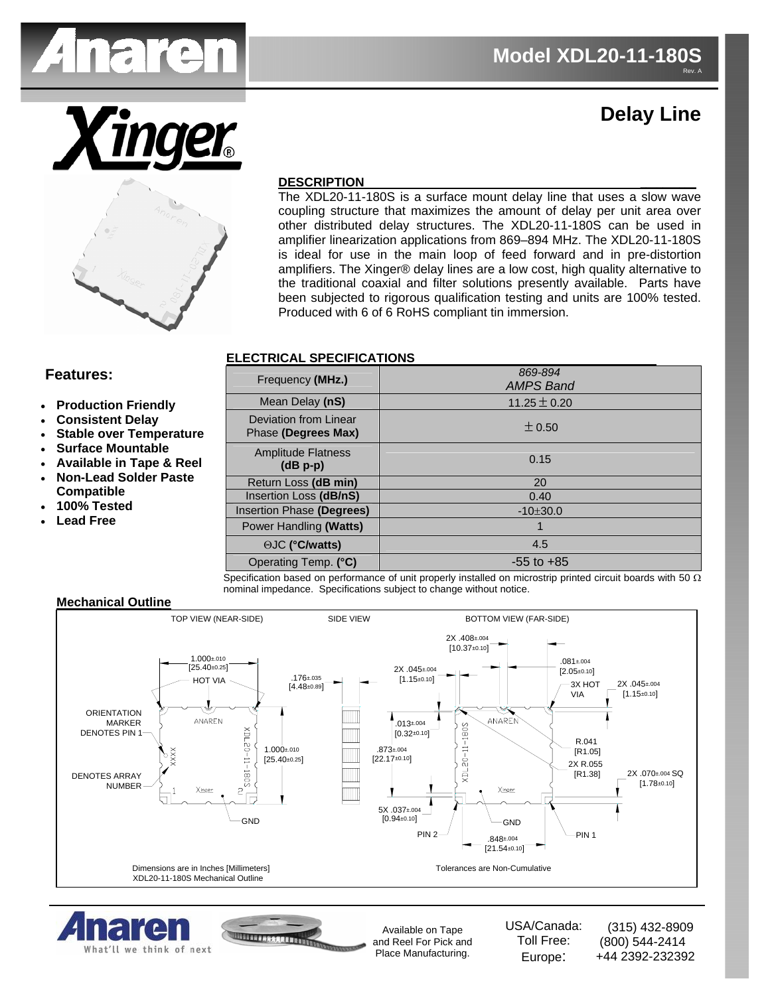

# **Delay Line**



#### **DESCRIPTION \_\_\_\_\_\_\_\_\_\_**

The XDL20-11-180S is a surface mount delay line that uses a slow wave coupling structure that maximizes the amount of delay per unit area over other distributed delay structures. The XDL20-11-180S can be used in amplifier linearization applications from 869–894 MHz. The XDL20-11-180S is ideal for use in the main loop of feed forward and in pre-distortion amplifiers. The Xinger® delay lines are a low cost, high quality alternative to the traditional coaxial and filter solutions presently available. Parts have been subjected to rigorous qualification testing and units are 100% tested. Produced with 6 of 6 RoHS compliant tin immersion.

### **ELECTRICAL SPECIFICATIONS**

- **Production Friendly**
- **Consistent Delay**
- **Stable over Temperature**
- **Surface Mountable**
- **Available in Tape & Reel**
- **Non-Lead Solder Paste Compatible**
- **100% Tested**
- **Lead Free**

| <b>Features:</b>                                                                                                                                                                                                                            | Frequency (MHz.)                             | 869-894<br><b>AMPS Band</b> |
|---------------------------------------------------------------------------------------------------------------------------------------------------------------------------------------------------------------------------------------------|----------------------------------------------|-----------------------------|
| <b>Production Friendly</b><br><b>Consistent Delay</b><br><b>Stable over Temperature</b><br><b>Surface Mountable</b><br><b>Available in Tape &amp; Reel</b><br><b>Non-Lead Solder Paste</b><br>Compatible<br>100% Tested<br><b>Lead Free</b> | Mean Delay (nS)                              | 11.25 $\pm$ 0.20            |
|                                                                                                                                                                                                                                             | Deviation from Linear<br>Phase (Degrees Max) | $\pm 0.50$                  |
|                                                                                                                                                                                                                                             | <b>Amplitude Flatness</b><br>$(dB p-p)$      | 0.15                        |
|                                                                                                                                                                                                                                             | Return Loss (dB min)                         | 20                          |
|                                                                                                                                                                                                                                             | Insertion Loss (dB/nS)                       | 0.40                        |
|                                                                                                                                                                                                                                             | Insertion Phase (Degrees)                    | $-10+30.0$                  |
|                                                                                                                                                                                                                                             | Power Handling (Watts)                       |                             |
|                                                                                                                                                                                                                                             | ⊙JC (°C/watts)                               | 4.5                         |
|                                                                                                                                                                                                                                             | Operating Temp. (°C)                         | $-55$ to $+85$              |

Specification based on performance of unit properly installed on microstrip printed circuit boards with 50  $\Omega$ nominal impedance. Specifications subject to change without notice.

#### **Mechanical Outline**







Available on Tape and Reel For Pick and Place Manufacturing.

USA/Canada: Toll Free: Europe:

 (315) 432-8909 (800) 544-2414 +44 2392-232392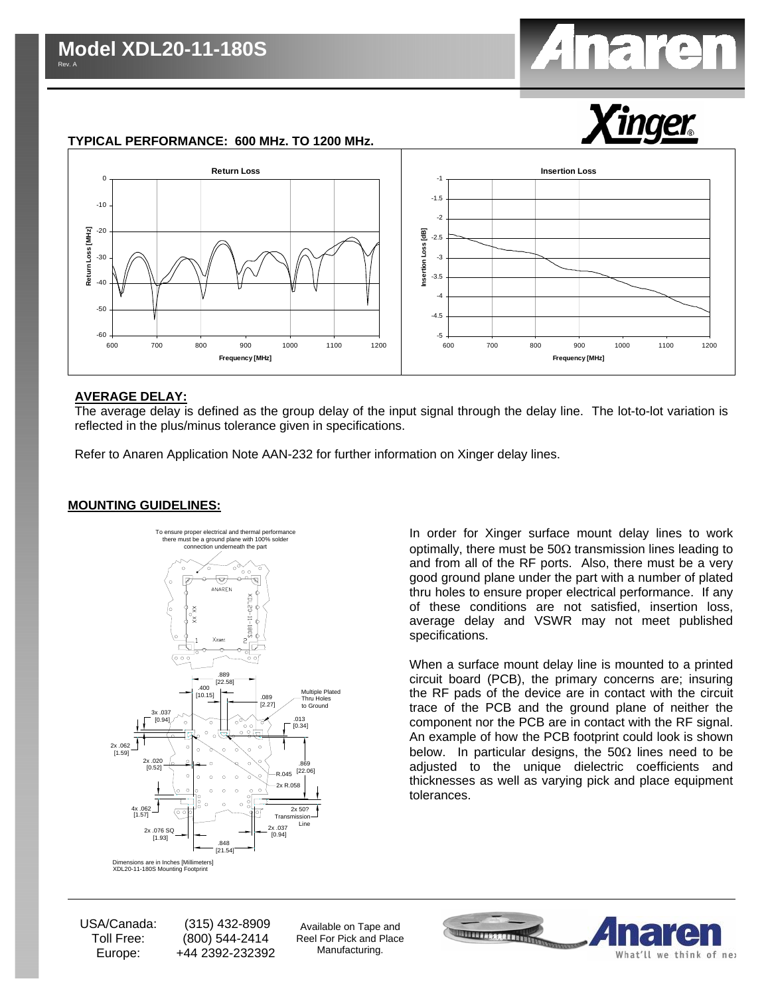



#### **TYPICAL PERFORMANCE: 600 MHz. TO 1200 MHz.**



#### **AVERAGE DELAY:**

The average delay is defined as the group delay of the input signal through the delay line. The lot-to-lot variation is reflected in the plus/minus tolerance given in specifications.

Refer to Anaren Application Note AAN-232 for further information on Xinger delay lines.

#### **MOUNTING GUIDELINES:**



In order for Xinger surface mount delay lines to work optimally, there must be  $50\Omega$  transmission lines leading to and from all of the RF ports. Also, there must be a very good ground plane under the part with a number of plated thru holes to ensure proper electrical performance. If any of these conditions are not satisfied, insertion loss, average delay and VSWR may not meet published specifications.

When a surface mount delay line is mounted to a printed circuit board (PCB), the primary concerns are; insuring the RF pads of the device are in contact with the circuit trace of the PCB and the ground plane of neither the component nor the PCB are in contact with the RF signal. An example of how the PCB footprint could look is shown below. In particular designs, the  $50\Omega$  lines need to be adjusted to the unique dielectric coefficients and thicknesses as well as varying pick and place equipment tolerances.

USA/Canada: Toll Free: Europe:

 (315) 432-8909 (800) 544-2414 +44 2392-232392

Available on Tape and Reel For Pick and Place Manufacturing.